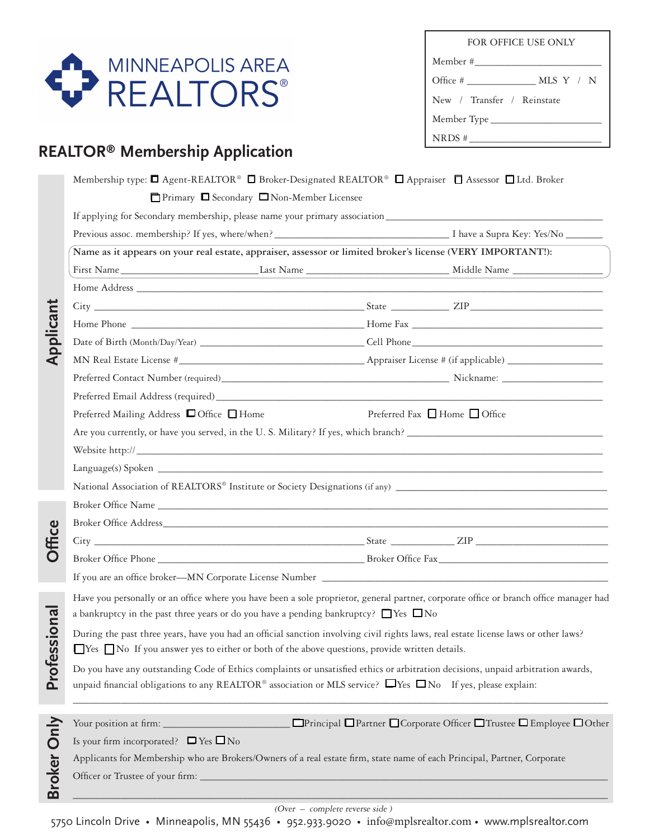

| FOR OFFICE USE ONLY                    |  |  |  |  |
|----------------------------------------|--|--|--|--|
|                                        |  |  |  |  |
| Office # $\_\_\_\_\_\_\_\_\$ MLS Y / N |  |  |  |  |
| New / Transfer / Reinstate             |  |  |  |  |
|                                        |  |  |  |  |
| NRDS #                                 |  |  |  |  |

# **REALTOR® Membership Application**

| Applicant     |                                                                                                                                        |  |                                                                       |
|---------------|----------------------------------------------------------------------------------------------------------------------------------------|--|-----------------------------------------------------------------------|
|               | Previous assoc. membership? If yes, where/when?<br><u> Investory: Yes/No</u>                                                           |  |                                                                       |
|               | Name as it appears on your real estate, appraiser, assessor or limited broker's license (VERY IMPORTANT!):                             |  |                                                                       |
|               |                                                                                                                                        |  |                                                                       |
|               |                                                                                                                                        |  |                                                                       |
|               |                                                                                                                                        |  |                                                                       |
|               |                                                                                                                                        |  |                                                                       |
|               |                                                                                                                                        |  |                                                                       |
|               |                                                                                                                                        |  |                                                                       |
|               |                                                                                                                                        |  |                                                                       |
|               |                                                                                                                                        |  |                                                                       |
|               | Preferred Mailing Address □ Office □ Home                                                                                              |  | Preferred Fax $\Box$ Home $\Box$ Office                               |
|               | Are you currently, or have you served, in the U.S. Military? If yes, which branch?                                                     |  |                                                                       |
|               |                                                                                                                                        |  |                                                                       |
|               | Language(s) Spoken et al. 2010 and 2010 and 2010 and 2010 and 2010 and 2010 and 2010 and 2010 and 2010 and 201                         |  |                                                                       |
|               |                                                                                                                                        |  |                                                                       |
| <b>Office</b> |                                                                                                                                        |  |                                                                       |
|               |                                                                                                                                        |  |                                                                       |
|               |                                                                                                                                        |  |                                                                       |
|               |                                                                                                                                        |  |                                                                       |
|               |                                                                                                                                        |  |                                                                       |
|               | Have you personally or an office where you have been a sole proprietor, general partner, corporate office or branch office manager had |  |                                                                       |
|               | a bankruptcy in the past three years or do you have a pending bankruptcy? $\Box$ Yes $\Box$ No                                         |  |                                                                       |
| iona          | During the past three years, have you had an official sanction involving civil rights laws, real estate license laws or other laws?    |  |                                                                       |
|               | $\Box$ Yes $\Box$ No If you answer yes to either or both of the above questions, provide written details.                              |  |                                                                       |
|               | Do you have any outstanding Code of Ethics complaints or unsatisfied ethics or arbitration decisions, unpaid arbitration awards,       |  |                                                                       |
| Profess       | unpaid financial obligations to any REALTOR® association or MLS service? $\Box$ Yes $\Box$ No If yes, please explain:                  |  |                                                                       |
|               |                                                                                                                                        |  |                                                                       |
|               | Your position at firm:                                                                                                                 |  | □Principal ■ Partner ■ Corporate Officer ■ Trustee ■ Employee ■ Other |
|               | Is your firm incorporated? $\Box$ Yes $\Box$ No                                                                                        |  |                                                                       |
|               | Applicants for Membership who are Brokers/Owners of a real estate firm, state name of each Principal, Partner, Corporate               |  |                                                                       |
| Broker Only   |                                                                                                                                        |  |                                                                       |
|               | Officer or Trustee of your firm: _                                                                                                     |  |                                                                       |